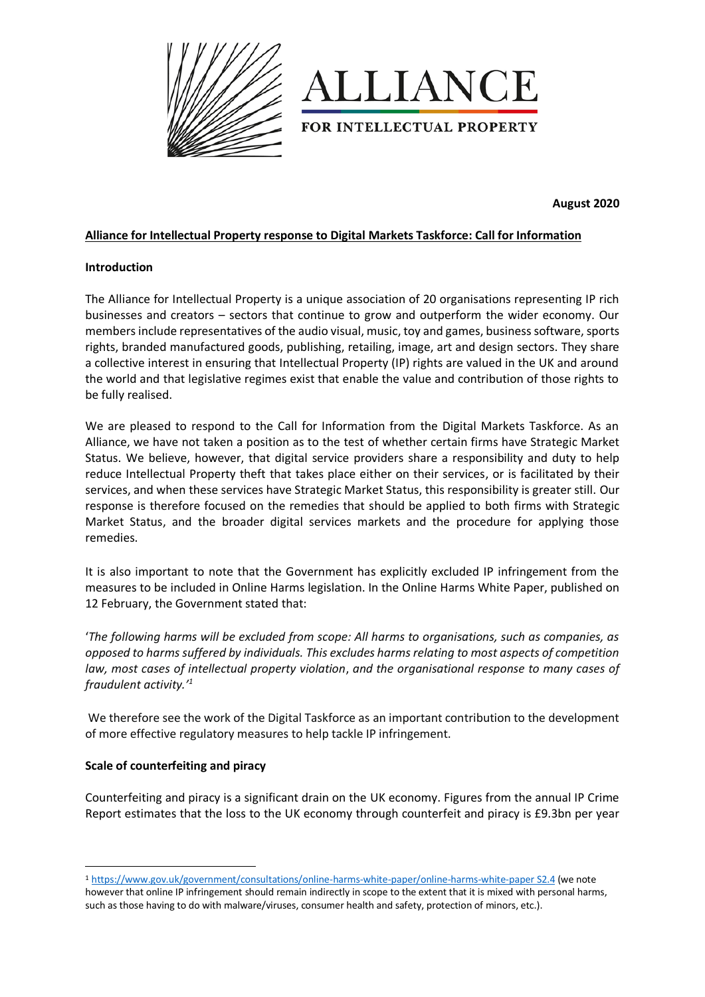



**August 2020** 

## **Alliance for Intellectual Property response to Digital Markets Taskforce: Call for Information**

### **Introduction**

The Alliance for Intellectual Property is a unique association of 20 organisations representing IP rich businesses and creators – sectors that continue to grow and outperform the wider economy. Our members include representatives of the audio visual, music, toy and games, business software, sports rights, branded manufactured goods, publishing, retailing, image, art and design sectors. They share a collective interest in ensuring that Intellectual Property (IP) rights are valued in the UK and around the world and that legislative regimes exist that enable the value and contribution of those rights to be fully realised.

We are pleased to respond to the Call for Information from the Digital Markets Taskforce. As an Alliance, we have not taken a position as to the test of whether certain firms have Strategic Market Status. We believe, however, that digital service providers share a responsibility and duty to help reduce Intellectual Property theft that takes place either on their services, or is facilitated by their services, and when these services have Strategic Market Status, this responsibility is greater still. Our response is therefore focused on the remedies that should be applied to both firms with Strategic Market Status, and the broader digital services markets and the procedure for applying those remedies.

It is also important to note that the Government has explicitly excluded IP infringement from the measures to be included in Online Harms legislation. In the Online Harms White Paper, published on 12 February, the Government stated that:

'*The following harms will be excluded from scope: All harms to organisations, such as companies, as opposed to harms suffered by individuals. This excludes harms relating to most aspects of competition law, most cases of intellectual property violation*, *and the organisational response to many cases of fraudulent activity.'<sup>1</sup>*

We therefore see the work of the Digital Taskforce as an important contribution to the development of more effective regulatory measures to help tackle IP infringement.

### **Scale of counterfeiting and piracy**

**.** 

Counterfeiting and piracy is a significant drain on the UK economy. Figures from the annual IP Crime Report estimates that the loss to the UK economy through counterfeit and piracy is £9.3bn per year

<sup>1</sup> [https://www.gov.uk/government/consultations/online-harms-white-paper/online-harms-white-paper S2.4](https://www.gov.uk/government/consultations/online-harms-white-paper/online-harms-white-paper%20S2.4) (we note however that online IP infringement should remain indirectly in scope to the extent that it is mixed with personal harms, such as those having to do with malware/viruses, consumer health and safety, protection of minors, etc.).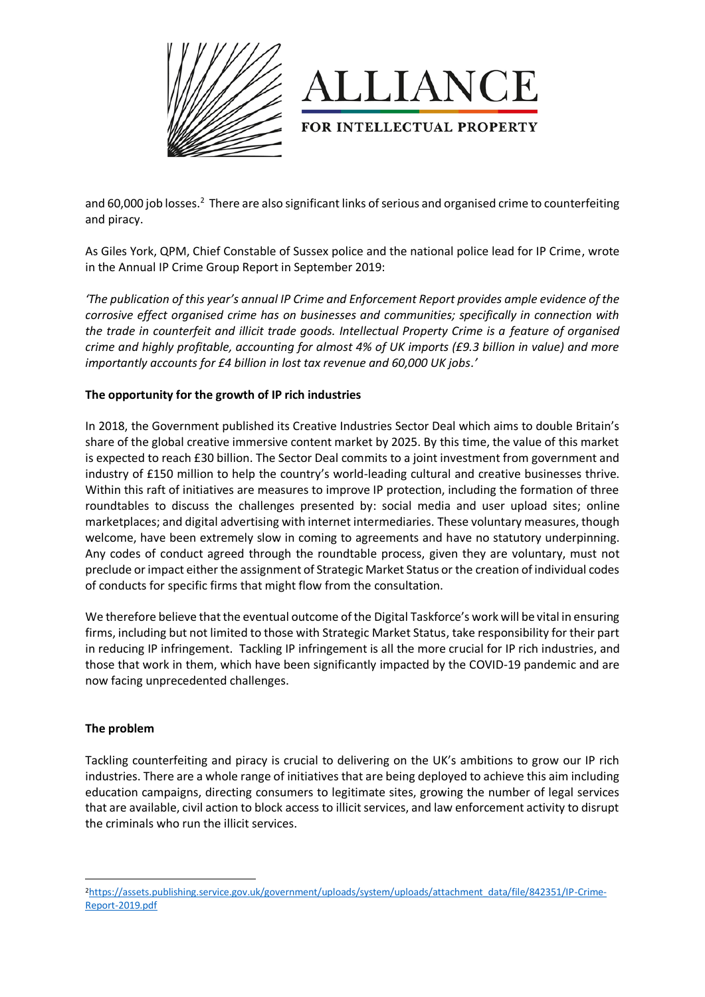



and 60,000 job losses.<sup>2</sup> There are also significant links of serious and organised crime to counterfeiting and piracy.

As Giles York, QPM, Chief Constable of Sussex police and the national police lead for IP Crime, wrote in the Annual IP Crime Group Report in September 2019:

*'The publication of this year's annual IP Crime and Enforcement Report provides ample evidence of the corrosive effect organised crime has on businesses and communities; specifically in connection with the trade in counterfeit and illicit trade goods. Intellectual Property Crime is a feature of organised crime and highly profitable, accounting for almost 4% of UK imports (£9.3 billion in value) and more importantly accounts for £4 billion in lost tax revenue and 60,000 UK jobs.'*

# **The opportunity for the growth of IP rich industries**

In 2018, the Government published its Creative Industries Sector Deal which aims to double Britain's share of the global creative immersive content market by 2025. By this time, the value of this market is expected to reach £30 billion. The Sector Deal commits to a joint investment from government and industry of £150 million to help the country's world-leading cultural and creative businesses thrive. Within this raft of initiatives are measures to improve IP protection, including the formation of three roundtables to discuss the challenges presented by: social media and user upload sites; online marketplaces; and digital advertising with internet intermediaries. These voluntary measures, though welcome, have been extremely slow in coming to agreements and have no statutory underpinning. Any codes of conduct agreed through the roundtable process, given they are voluntary, must not preclude or impact either the assignment of Strategic Market Status or the creation of individual codes of conducts for specific firms that might flow from the consultation.

We therefore believe that the eventual outcome of the Digital Taskforce's work will be vital in ensuring firms, including but not limited to those with Strategic Market Status, take responsibility for their part in reducing IP infringement. Tackling IP infringement is all the more crucial for IP rich industries, and those that work in them, which have been significantly impacted by the COVID-19 pandemic and are now facing unprecedented challenges.

### **The problem**

**.** 

Tackling counterfeiting and piracy is crucial to delivering on the UK's ambitions to grow our IP rich industries. There are a whole range of initiatives that are being deployed to achieve this aim including education campaigns, directing consumers to legitimate sites, growing the number of legal services that are available, civil action to block access to illicit services, and law enforcement activity to disrupt the criminals who run the illicit services.

<sup>2</sup>[https://assets.publishing.service.gov.uk/government/uploads/system/uploads/attachment\\_data/file/842351/IP-Crime-](https://assets.publishing.service.gov.uk/government/uploads/system/uploads/attachment_data/file/842351/IP-Crime-Report-2019.pdf)[Report-2019.pdf](https://assets.publishing.service.gov.uk/government/uploads/system/uploads/attachment_data/file/842351/IP-Crime-Report-2019.pdf)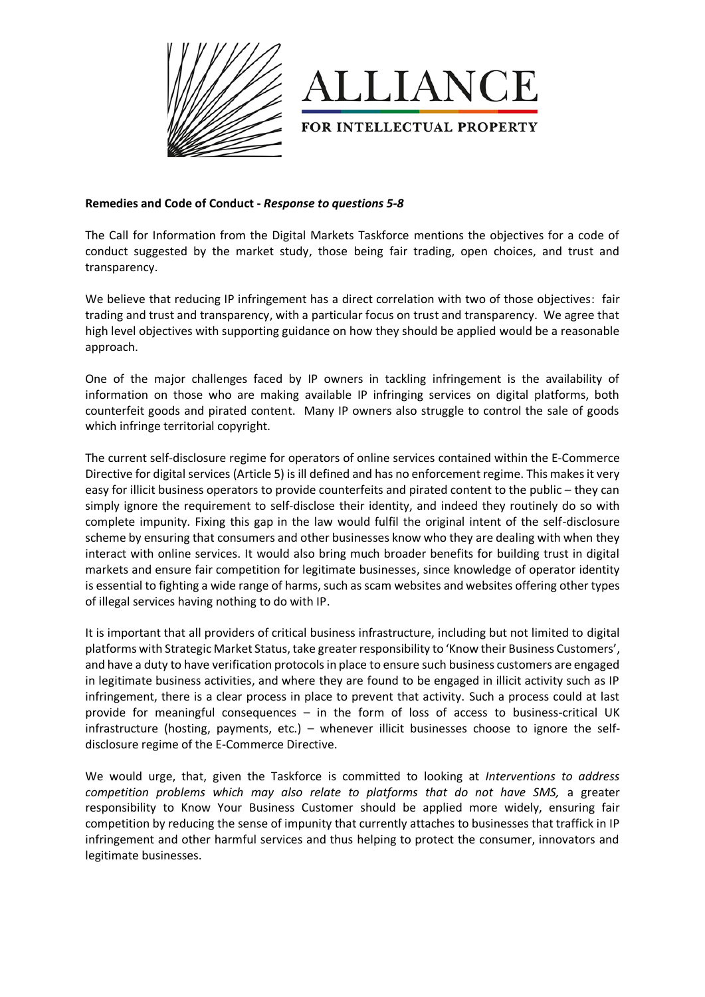



### **Remedies and Code of Conduct -** *Response to questions 5-8*

The Call for Information from the Digital Markets Taskforce mentions the objectives for a code of conduct suggested by the market study, those being fair trading, open choices, and trust and transparency.

We believe that reducing IP infringement has a direct correlation with two of those objectives: fair trading and trust and transparency, with a particular focus on trust and transparency. We agree that high level objectives with supporting guidance on how they should be applied would be a reasonable approach.

One of the major challenges faced by IP owners in tackling infringement is the availability of information on those who are making available IP infringing services on digital platforms, both counterfeit goods and pirated content.Many IP owners also struggle to control the sale of goods which infringe territorial copyright.

The current self-disclosure regime for operators of online services contained within the E-Commerce Directive for digital services (Article 5) is ill defined and has no enforcement regime. This makes it very easy for illicit business operators to provide counterfeits and pirated content to the public – they can simply ignore the requirement to self-disclose their identity, and indeed they routinely do so with complete impunity. Fixing this gap in the law would fulfil the original intent of the self-disclosure scheme by ensuring that consumers and other businesses know who they are dealing with when they interact with online services. It would also bring much broader benefits for building trust in digital markets and ensure fair competition for legitimate businesses, since knowledge of operator identity is essential to fighting a wide range of harms, such as scam websites and websites offering other types of illegal services having nothing to do with IP.

It is important that all providers of critical business infrastructure, including but not limited to digital platforms with Strategic Market Status, take greater responsibility to 'Know their Business Customers', and have a duty to have verification protocols in place to ensure such business customers are engaged in legitimate business activities, and where they are found to be engaged in illicit activity such as IP infringement, there is a clear process in place to prevent that activity. Such a process could at last provide for meaningful consequences – in the form of loss of access to business-critical UK infrastructure (hosting, payments, etc.) – whenever illicit businesses choose to ignore the selfdisclosure regime of the E-Commerce Directive.

We would urge, that, given the Taskforce is committed to looking at *Interventions to address competition problems which may also relate to platforms that do not have SMS,* a greater responsibility to Know Your Business Customer should be applied more widely, ensuring fair competition by reducing the sense of impunity that currently attaches to businesses that traffick in IP infringement and other harmful services and thus helping to protect the consumer, innovators and legitimate businesses.